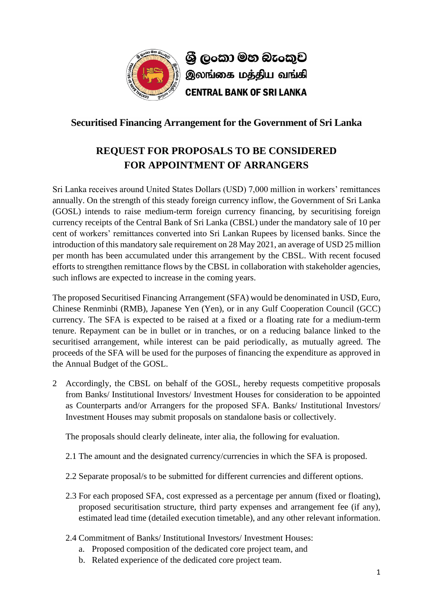

## **Securitised Financing Arrangement for the Government of Sri Lanka**

## **REQUEST FOR PROPOSALS TO BE CONSIDERED FOR APPOINTMENT OF ARRANGERS**

Sri Lanka receives around United States Dollars (USD) 7,000 million in workers' remittances annually. On the strength of this steady foreign currency inflow, the Government of Sri Lanka (GOSL) intends to raise medium-term foreign currency financing, by securitising foreign currency receipts of the Central Bank of Sri Lanka (CBSL) under the mandatory sale of 10 per cent of workers' remittances converted into Sri Lankan Rupees by licensed banks. Since the introduction of this mandatory sale requirement on 28 May 2021, an average of USD 25 million per month has been accumulated under this arrangement by the CBSL. With recent focused efforts to strengthen remittance flows by the CBSL in collaboration with stakeholder agencies, such inflows are expected to increase in the coming years.

The proposed Securitised Financing Arrangement (SFA) would be denominated in USD, Euro, Chinese Renminbi (RMB), Japanese Yen (Yen), or in any Gulf Cooperation Council (GCC) currency. The SFA is expected to be raised at a fixed or a floating rate for a medium-term tenure. Repayment can be in bullet or in tranches, or on a reducing balance linked to the securitised arrangement, while interest can be paid periodically, as mutually agreed. The proceeds of the SFA will be used for the purposes of financing the expenditure as approved in the Annual Budget of the GOSL.

2 Accordingly, the CBSL on behalf of the GOSL, hereby requests competitive proposals from Banks/ Institutional Investors/ Investment Houses for consideration to be appointed as Counterparts and/or Arrangers for the proposed SFA. Banks/ Institutional Investors/ Investment Houses may submit proposals on standalone basis or collectively.

The proposals should clearly delineate, inter alia, the following for evaluation.

- 2.1 The amount and the designated currency/currencies in which the SFA is proposed.
- 2.2 Separate proposal/s to be submitted for different currencies and different options.
- 2.3 For each proposed SFA, cost expressed as a percentage per annum (fixed or floating), proposed securitisation structure, third party expenses and arrangement fee (if any), estimated lead time (detailed execution timetable), and any other relevant information.
- 2.4 Commitment of Banks/ Institutional Investors/ Investment Houses:
	- a. Proposed composition of the dedicated core project team, and
	- b. Related experience of the dedicated core project team.